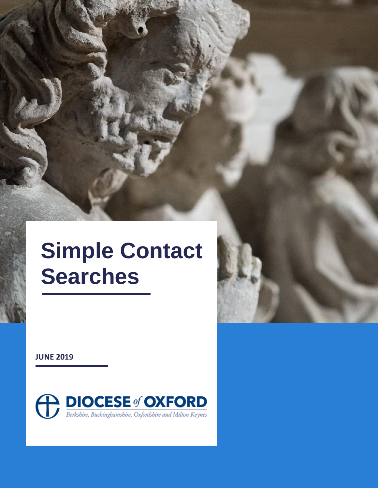# **Simple Contact Searches**

**JUNE 2019**

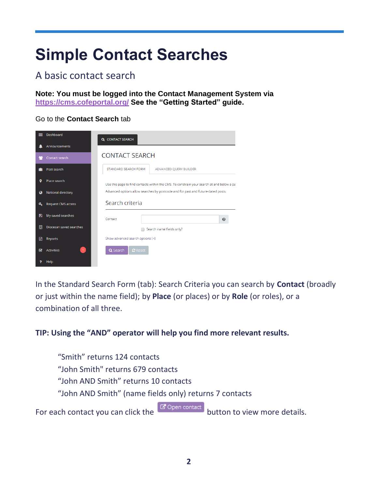## **Simple Contact Searches**

### A basic contact search

**Note: You must be logged into the Contact Management System via [https://cms.cofeportal.org/](https://cms.cofeportal.org/S) See the "Getting Started" guide.**

Go to the **Contact Search** tab

| ₩  | Dashboard               | <b>Q</b> CONTACT SEARCH                                                                   |
|----|-------------------------|-------------------------------------------------------------------------------------------|
|    | Announcements           |                                                                                           |
|    | Contact search          | <b>CONTACT SEARCH</b>                                                                     |
|    | Post search             | STANDARD SEARCH FORM<br>ADVANCED QUERY BUILDER                                            |
| o  | Place search            | Use this page to find contacts within the CMS. To constrain your search at and below a pa |
| Q  | National directory      | Advanced options allow searches by postcode and for past and future-dated posts.          |
| a. | Request CMS access      | Search criteria                                                                           |
| 冎  | My saved searches       | Contact<br>$\boldsymbol{\Theta}$                                                          |
| 圓  | Diocesan saved searches | Search name fields only?                                                                  |
| Ռ  | <b>Reports</b>          | Show advanced search options [+]                                                          |
| ☞  | 1<br><b>Activities</b>  | Q Search<br><b>C</b> Reset                                                                |
|    | Help                    |                                                                                           |

In the Standard Search Form (tab): Search Criteria you can search by **Contact** (broadly or just within the name field); by **Place** (or places) or by **Role** (or roles), or a combination of all three.

**TIP: Using the "AND" operator will help you find more relevant results.**

"Smith" returns 124 contacts "John Smith" returns 679 contacts "John AND Smith" returns 10 contacts "John AND Smith" (name fields only) returns 7 contacts For each contact you can click the **B**O<sub>pen contact</sub> button to view more details.